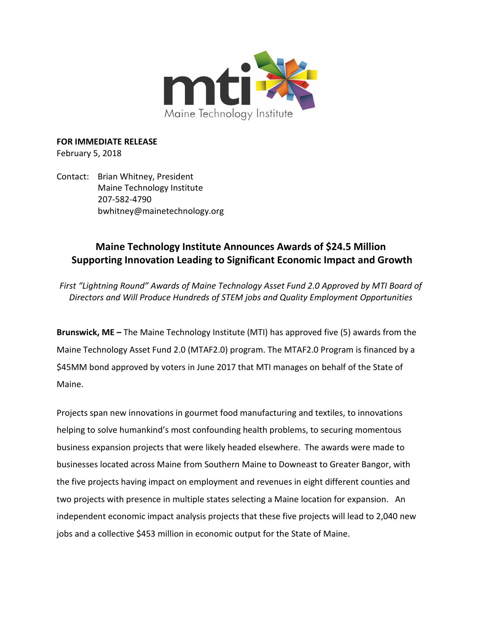

**FOR IMMEDIATE RELEASE** February 5, 2018

Contact: Brian Whitney, President Maine Technology Institute 207-582-4790 bwhitney@mainetechnology.org

## **Maine Technology Institute Announces Awards of \$24.5 Million Supporting Innovation Leading to Significant Economic Impact and Growth**

*First "Lightning Round" Awards of Maine Technology Asset Fund 2.0 Approved by MTI Board of Directors and Will Produce Hundreds of STEM jobs and Quality Employment Opportunities*

**Brunswick, ME –** The Maine Technology Institute (MTI) has approved five (5) awards from the Maine Technology Asset Fund 2.0 (MTAF2.0) program. The MTAF2.0 Program is financed by a \$45MM bond approved by voters in June 2017 that MTI manages on behalf of the State of Maine.

Projects span new innovations in gourmet food manufacturing and textiles, to innovations helping to solve humankind's most confounding health problems, to securing momentous business expansion projects that were likely headed elsewhere. The awards were made to businesses located across Maine from Southern Maine to Downeast to Greater Bangor, with the five projects having impact on employment and revenues in eight different counties and two projects with presence in multiple states selecting a Maine location for expansion. An independent economic impact analysis projects that these five projects will lead to 2,040 new jobs and a collective \$453 million in economic output for the State of Maine.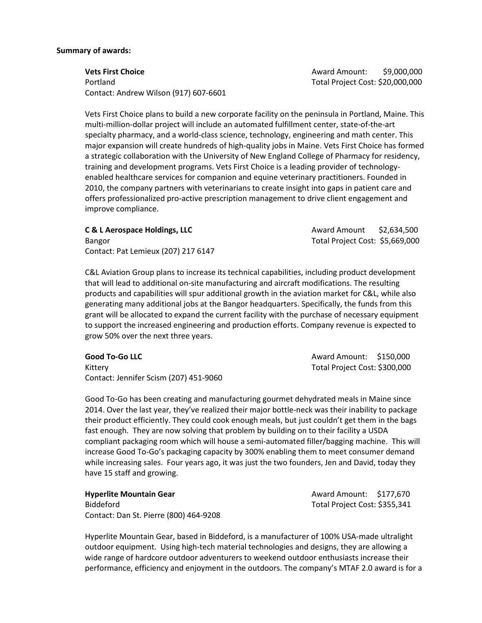## **Summary of awards:**

**Vets First Choice Award Amount: \$9,000,000** Portland Total Project Cost: \$20,000,000 Contact: Andrew Wilson (917) 607-6601

Vets First Choice plans to build a new corporate facility on the peninsula in Portland, Maine. This multi-million-dollar project will include an automated fulfillment center, state-of-the-art specialty pharmacy, and a world-class science, technology, engineering and math center. This major expansion will create hundreds of high-quality jobs in Maine. Vets First Choice has formed a strategic collaboration with the University of New England College of Pharmacy for residency, training and development programs. Vets First Choice is a leading provider of technologyenabled healthcare services for companion and equine veterinary practitioners. Founded in 2010, the company partners with veterinarians to create insight into gaps in patient care and offers professionalized pro-active prescription management to drive client engagement and improve compliance.

| C & L Aerospace Holdings, LLC       | Award Amount                    | \$2,634,500 |
|-------------------------------------|---------------------------------|-------------|
| Bangor                              | Total Project Cost: \$5,669,000 |             |
| Contact: Pat Lemieux (207) 217 6147 |                                 |             |

C&L Aviation Group plans to increase its technical capabilities, including product development that will lead to additional on-site manufacturing and aircraft modifications. The resulting products and capabilities will spur additional growth in the aviation market for C&L, while also generating many additional jobs at the Bangor headquarters. Specifically, the funds from this grant will be allocated to expand the current facility with the purchase of necessary equipment to support the increased engineering and production efforts. Company revenue is expected to grow 50% over the next three years.

Kittery **The Cost of Total Project Cost: \$300,000** Total Project Cost: \$300,000 Contact: Jennifer Scism (207) 451-9060

**Good To-Go LLC** Award Amount: \$150,000

Good To-Go has been creating and manufacturing gourmet dehydrated meals in Maine since 2014. Over the last year, they've realized their major bottle-neck was their inability to package their product efficiently. They could cook enough meals, but just couldn't get them in the bags fast enough. They are now solving that problem by building on to their facility a USDA compliant packaging room which will house a semi-automated filler/bagging machine. This will increase Good To-Go's packaging capacity by 300% enabling them to meet consumer demand while increasing sales. Four years ago, it was just the two founders, Jen and David, today they have 15 staff and growing.

**Hyperlite Mountain Gear** Award Amount: \$177,670 Biddeford Total Project Cost: \$355,341 Contact: Dan St. Pierre (800) 464-9208

Hyperlite Mountain Gear, based in Biddeford, is a manufacturer of 100% USA-made ultralight outdoor equipment. Using high-tech material technologies and designs, they are allowing a wide range of hardcore outdoor adventurers to weekend outdoor enthusiasts increase their performance, efficiency and enjoyment in the outdoors. The company's MTAF 2.0 award is for a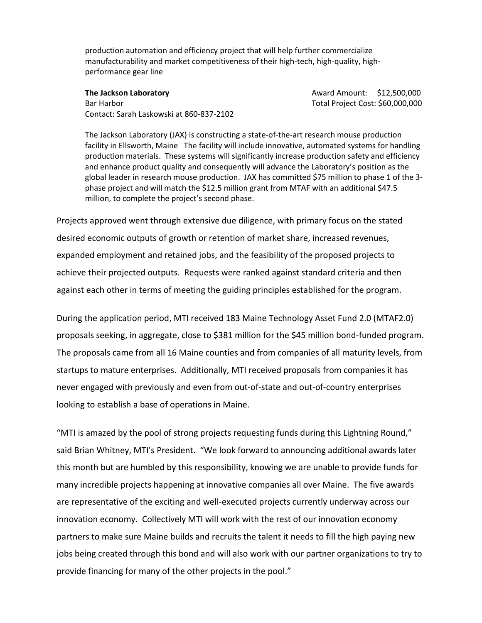production automation and efficiency project that will help further commercialize manufacturability and market competitiveness of their high-tech, high-quality, highperformance gear line

**The Jackson Laboratory Award Amount: \$12,500,000** Bar Harbor **Markor Total Project Cost: \$60,000,000** Contact: Sarah Laskowski at 860-837-2102

The Jackson Laboratory (JAX) is constructing a state-of-the-art research mouse production facility in Ellsworth, Maine The facility will include innovative, automated systems for handling production materials. These systems will significantly increase production safety and efficiency and enhance product quality and consequently will advance the Laboratory's position as the global leader in research mouse production. JAX has committed \$75 million to phase 1 of the 3 phase project and will match the \$12.5 million grant from MTAF with an additional \$47.5 million, to complete the project's second phase.

Projects approved went through extensive due diligence, with primary focus on the stated desired economic outputs of growth or retention of market share, increased revenues, expanded employment and retained jobs, and the feasibility of the proposed projects to achieve their projected outputs. Requests were ranked against standard criteria and then against each other in terms of meeting the guiding principles established for the program.

During the application period, MTI received 183 Maine Technology Asset Fund 2.0 (MTAF2.0) proposals seeking, in aggregate, close to \$381 million for the \$45 million bond-funded program. The proposals came from all 16 Maine counties and from companies of all maturity levels, from startups to mature enterprises. Additionally, MTI received proposals from companies it has never engaged with previously and even from out-of-state and out-of-country enterprises looking to establish a base of operations in Maine.

"MTI is amazed by the pool of strong projects requesting funds during this Lightning Round," said Brian Whitney, MTI's President. "We look forward to announcing additional awards later this month but are humbled by this responsibility, knowing we are unable to provide funds for many incredible projects happening at innovative companies all over Maine. The five awards are representative of the exciting and well-executed projects currently underway across our innovation economy. Collectively MTI will work with the rest of our innovation economy partners to make sure Maine builds and recruits the talent it needs to fill the high paying new jobs being created through this bond and will also work with our partner organizations to try to provide financing for many of the other projects in the pool."